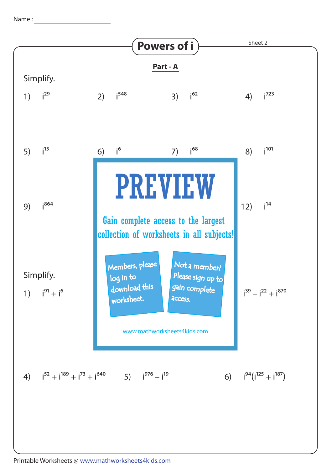